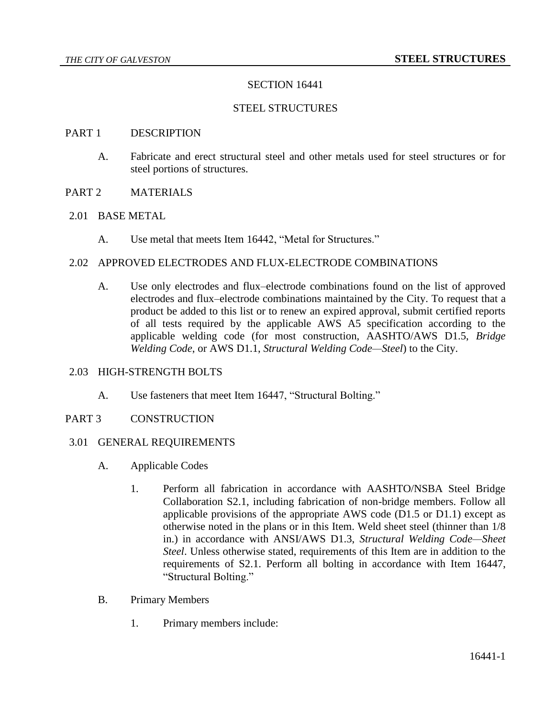### SECTION 16441

### STEEL STRUCTURES

#### PART 1 DESCRIPTION

- A. Fabricate and erect structural steel and other metals used for steel structures or for steel portions of structures.
- PART 2 MATERIALS
- 2.01 BASE METAL
	- A. Use metal that meets Item 16442, "Metal for Structures."

### 2.02 APPROVED ELECTRODES AND FLUX-ELECTRODE COMBINATIONS

A. Use only electrodes and flux–electrode combinations found on the list of approved electrodes and flux–electrode combinations maintained by the City. To request that a product be added to this list or to renew an expired approval, submit certified reports of all tests required by the applicable AWS A5 specification according to the applicable welding code (for most construction, AASHTO/AWS D1.5, *Bridge Welding Code*, or AWS D1.1, *Structural Welding Code—Steel*) to the City.

#### 2.03 HIGH-STRENGTH BOLTS

- A. Use fasteners that meet Item 16447, "Structural Bolting."
- PART 3 CONSTRUCTION

#### 3.01 GENERAL REQUIREMENTS

- A. Applicable Codes
	- 1. Perform all fabrication in accordance with AASHTO/NSBA Steel Bridge Collaboration S2.1, including fabrication of non-bridge members. Follow all applicable provisions of the appropriate AWS code (D1.5 or D1.1) except as otherwise noted in the plans or in this Item. Weld sheet steel (thinner than 1/8 in.) in accordance with ANSI/AWS D1.3, *Structural Welding Code—Sheet Steel*. Unless otherwise stated, requirements of this Item are in addition to the requirements of S2.1. Perform all bolting in accordance with Item 16447, "Structural Bolting."
- B. Primary Members
	- 1. Primary members include: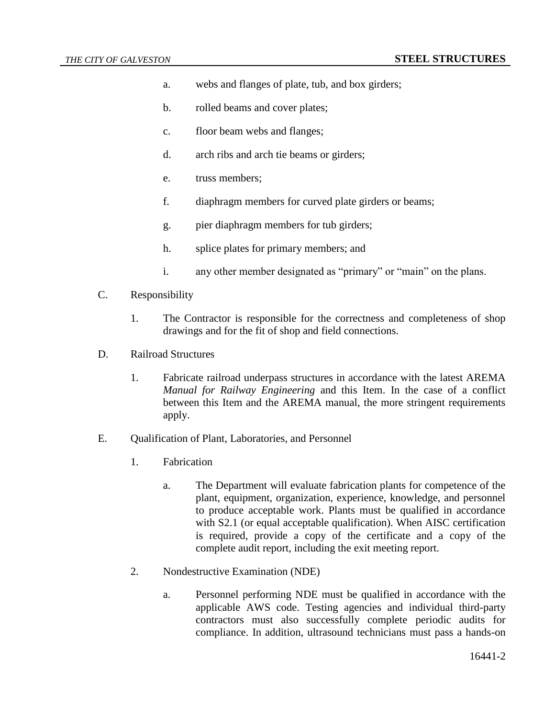- a. webs and flanges of plate, tub, and box girders;
- b. rolled beams and cover plates;
- c. floor beam webs and flanges;
- d. arch ribs and arch tie beams or girders;
- e. truss members;
- f. diaphragm members for curved plate girders or beams;
- g. pier diaphragm members for tub girders;
- h. splice plates for primary members; and
- i. any other member designated as "primary" or "main" on the plans.
- C. Responsibility
	- 1. The Contractor is responsible for the correctness and completeness of shop drawings and for the fit of shop and field connections.
- D. Railroad Structures
	- 1. Fabricate railroad underpass structures in accordance with the latest AREMA *Manual for Railway Engineering* and this Item. In the case of a conflict between this Item and the AREMA manual, the more stringent requirements apply.
- E. Qualification of Plant, Laboratories, and Personnel
	- 1. Fabrication
		- a. The Department will evaluate fabrication plants for competence of the plant, equipment, organization, experience, knowledge, and personnel to produce acceptable work. Plants must be qualified in accordance with S2.1 (or equal acceptable qualification). When AISC certification is required, provide a copy of the certificate and a copy of the complete audit report, including the exit meeting report.
	- 2. Nondestructive Examination (NDE)
		- a. Personnel performing NDE must be qualified in accordance with the applicable AWS code. Testing agencies and individual third-party contractors must also successfully complete periodic audits for compliance. In addition, ultrasound technicians must pass a hands-on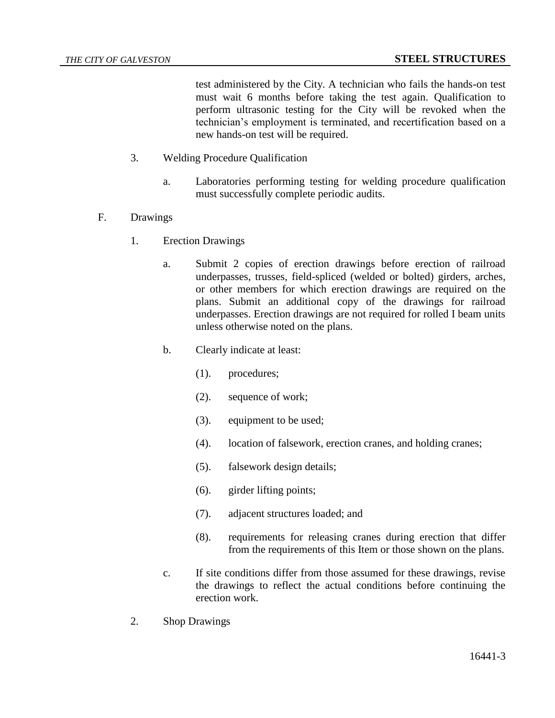test administered by the City. A technician who fails the hands-on test must wait 6 months before taking the test again. Qualification to perform ultrasonic testing for the City will be revoked when the technician's employment is terminated, and recertification based on a new hands-on test will be required.

- 3. Welding Procedure Qualification
	- a. Laboratories performing testing for welding procedure qualification must successfully complete periodic audits.
- F. Drawings
	- 1. Erection Drawings
		- a. Submit 2 copies of erection drawings before erection of railroad underpasses, trusses, field-spliced (welded or bolted) girders, arches, or other members for which erection drawings are required on the plans. Submit an additional copy of the drawings for railroad underpasses. Erection drawings are not required for rolled I beam units unless otherwise noted on the plans.
		- b. Clearly indicate at least:
			- (1). procedures;
			- (2). sequence of work;
			- (3). equipment to be used;
			- (4). location of falsework, erection cranes, and holding cranes;
			- (5). falsework design details;
			- (6). girder lifting points;
			- (7). adjacent structures loaded; and
			- (8). requirements for releasing cranes during erection that differ from the requirements of this Item or those shown on the plans.
		- c. If site conditions differ from those assumed for these drawings, revise the drawings to reflect the actual conditions before continuing the erection work.
	- 2. Shop Drawings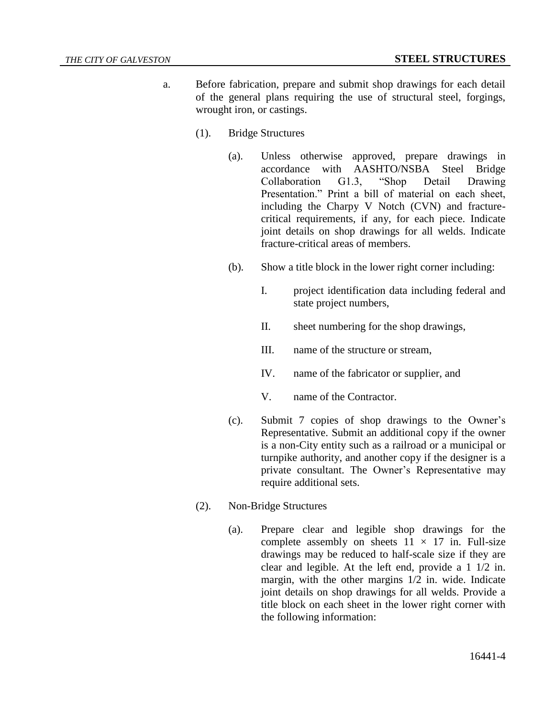- a. Before fabrication, prepare and submit shop drawings for each detail of the general plans requiring the use of structural steel, forgings, wrought iron, or castings.
	- (1). Bridge Structures
		- (a). Unless otherwise approved, prepare drawings in accordance with AASHTO/NSBA Steel Bridge Collaboration G1.3, "Shop Detail Drawing Presentation." Print a bill of material on each sheet, including the Charpy V Notch (CVN) and fracturecritical requirements, if any, for each piece. Indicate joint details on shop drawings for all welds. Indicate fracture-critical areas of members.
		- (b). Show a title block in the lower right corner including:
			- I. project identification data including federal and state project numbers,
			- II. sheet numbering for the shop drawings,
			- III. name of the structure or stream,
			- IV. name of the fabricator or supplier, and
			- V. name of the Contractor.
		- (c). Submit 7 copies of shop drawings to the Owner's Representative. Submit an additional copy if the owner is a non-City entity such as a railroad or a municipal or turnpike authority, and another copy if the designer is a private consultant. The Owner's Representative may require additional sets.
	- (2). Non-Bridge Structures
		- (a). Prepare clear and legible shop drawings for the complete assembly on sheets  $11 \times 17$  in. Full-size drawings may be reduced to half-scale size if they are clear and legible. At the left end, provide a 1 1/2 in. margin, with the other margins 1/2 in. wide. Indicate joint details on shop drawings for all welds. Provide a title block on each sheet in the lower right corner with the following information: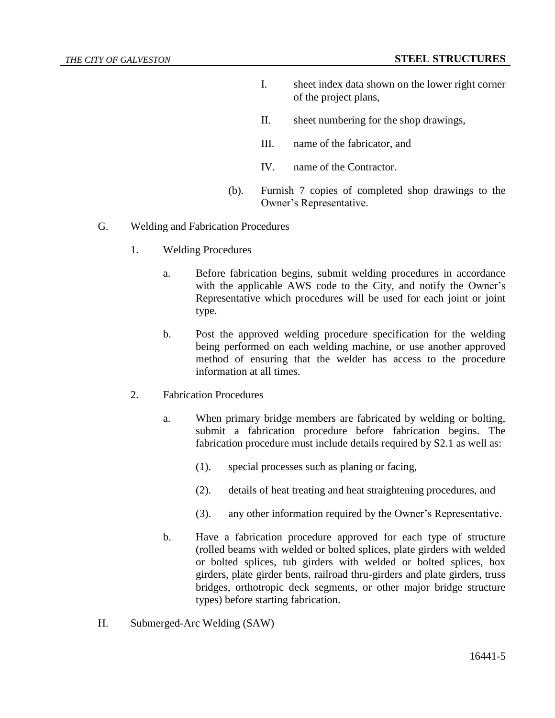- I. sheet index data shown on the lower right corner of the project plans,
- II. sheet numbering for the shop drawings,
- III. name of the fabricator, and
- IV. name of the Contractor.
- (b). Furnish 7 copies of completed shop drawings to the Owner's Representative.
- G. Welding and Fabrication Procedures
	- 1. Welding Procedures
		- a. Before fabrication begins, submit welding procedures in accordance with the applicable AWS code to the City, and notify the Owner's Representative which procedures will be used for each joint or joint type.
		- b. Post the approved welding procedure specification for the welding being performed on each welding machine, or use another approved method of ensuring that the welder has access to the procedure information at all times.
	- 2. Fabrication Procedures
		- a. When primary bridge members are fabricated by welding or bolting, submit a fabrication procedure before fabrication begins. The fabrication procedure must include details required by S2.1 as well as:
			- (1). special processes such as planing or facing,
			- (2). details of heat treating and heat straightening procedures, and
			- (3). any other information required by the Owner's Representative.
		- b. Have a fabrication procedure approved for each type of structure (rolled beams with welded or bolted splices, plate girders with welded or bolted splices, tub girders with welded or bolted splices, box girders, plate girder bents, railroad thru-girders and plate girders, truss bridges, orthotropic deck segments, or other major bridge structure types) before starting fabrication.
- H. Submerged-Arc Welding (SAW)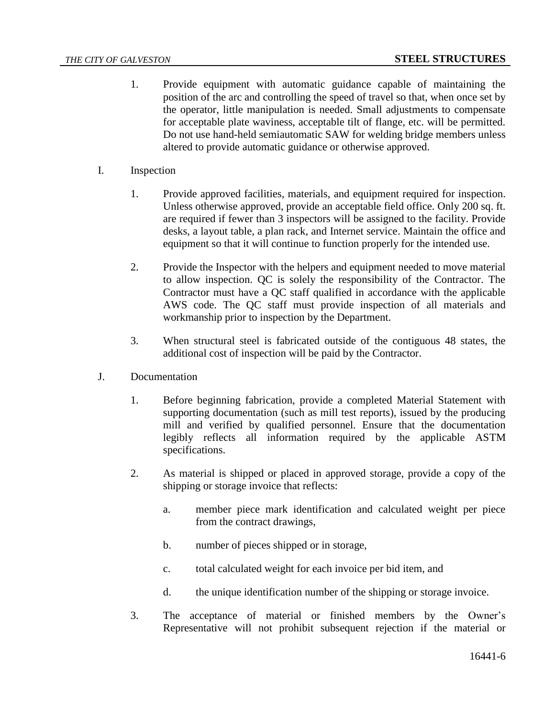- 1. Provide equipment with automatic guidance capable of maintaining the position of the arc and controlling the speed of travel so that, when once set by the operator, little manipulation is needed. Small adjustments to compensate for acceptable plate waviness, acceptable tilt of flange, etc. will be permitted. Do not use hand-held semiautomatic SAW for welding bridge members unless altered to provide automatic guidance or otherwise approved.
- I. Inspection
	- 1. Provide approved facilities, materials, and equipment required for inspection. Unless otherwise approved, provide an acceptable field office. Only 200 sq. ft. are required if fewer than 3 inspectors will be assigned to the facility. Provide desks, a layout table, a plan rack, and Internet service. Maintain the office and equipment so that it will continue to function properly for the intended use.
	- 2. Provide the Inspector with the helpers and equipment needed to move material to allow inspection. QC is solely the responsibility of the Contractor. The Contractor must have a QC staff qualified in accordance with the applicable AWS code. The QC staff must provide inspection of all materials and workmanship prior to inspection by the Department.
	- 3. When structural steel is fabricated outside of the contiguous 48 states, the additional cost of inspection will be paid by the Contractor.
- J. Documentation
	- 1. Before beginning fabrication, provide a completed Material Statement with supporting documentation (such as mill test reports), issued by the producing mill and verified by qualified personnel. Ensure that the documentation legibly reflects all information required by the applicable ASTM specifications.
	- 2. As material is shipped or placed in approved storage, provide a copy of the shipping or storage invoice that reflects:
		- a. member piece mark identification and calculated weight per piece from the contract drawings,
		- b. number of pieces shipped or in storage,
		- c. total calculated weight for each invoice per bid item, and
		- d. the unique identification number of the shipping or storage invoice.
	- 3. The acceptance of material or finished members by the Owner's Representative will not prohibit subsequent rejection if the material or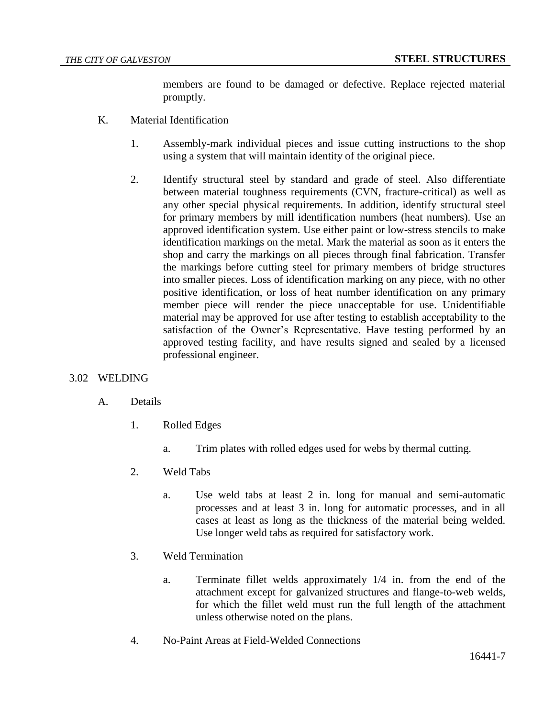members are found to be damaged or defective. Replace rejected material promptly.

- K. Material Identification
	- 1. Assembly-mark individual pieces and issue cutting instructions to the shop using a system that will maintain identity of the original piece.
	- 2. Identify structural steel by standard and grade of steel. Also differentiate between material toughness requirements (CVN, fracture-critical) as well as any other special physical requirements. In addition, identify structural steel for primary members by mill identification numbers (heat numbers). Use an approved identification system. Use either paint or low-stress stencils to make identification markings on the metal. Mark the material as soon as it enters the shop and carry the markings on all pieces through final fabrication. Transfer the markings before cutting steel for primary members of bridge structures into smaller pieces. Loss of identification marking on any piece, with no other positive identification, or loss of heat number identification on any primary member piece will render the piece unacceptable for use. Unidentifiable material may be approved for use after testing to establish acceptability to the satisfaction of the Owner's Representative. Have testing performed by an approved testing facility, and have results signed and sealed by a licensed professional engineer.

# 3.02 WELDING

# A. Details

- 1. Rolled Edges
	- a. Trim plates with rolled edges used for webs by thermal cutting.
- 2. Weld Tabs
	- a. Use weld tabs at least 2 in. long for manual and semi-automatic processes and at least 3 in. long for automatic processes, and in all cases at least as long as the thickness of the material being welded. Use longer weld tabs as required for satisfactory work.
- 3. Weld Termination
	- a. Terminate fillet welds approximately 1/4 in. from the end of the attachment except for galvanized structures and flange-to-web welds, for which the fillet weld must run the full length of the attachment unless otherwise noted on the plans.
- 4. No-Paint Areas at Field-Welded Connections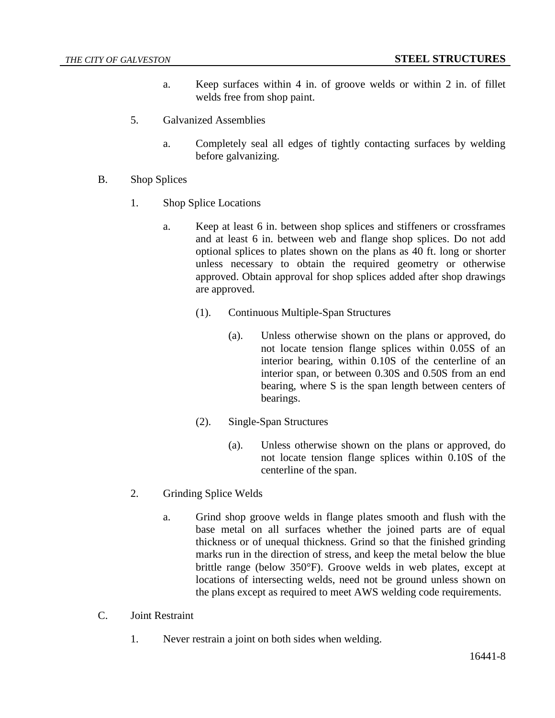- a. Keep surfaces within 4 in. of groove welds or within 2 in. of fillet welds free from shop paint.
- 5. Galvanized Assemblies
	- a. Completely seal all edges of tightly contacting surfaces by welding before galvanizing.
- B. Shop Splices
	- 1. Shop Splice Locations
		- a. Keep at least 6 in. between shop splices and stiffeners or crossframes and at least 6 in. between web and flange shop splices. Do not add optional splices to plates shown on the plans as 40 ft. long or shorter unless necessary to obtain the required geometry or otherwise approved. Obtain approval for shop splices added after shop drawings are approved.
			- (1). Continuous Multiple-Span Structures
				- (a). Unless otherwise shown on the plans or approved, do not locate tension flange splices within 0.05S of an interior bearing, within 0.10S of the centerline of an interior span, or between 0.30S and 0.50S from an end bearing, where S is the span length between centers of bearings.
			- (2). Single-Span Structures
				- (a). Unless otherwise shown on the plans or approved, do not locate tension flange splices within 0.10S of the centerline of the span.
	- 2. Grinding Splice Welds
		- a. Grind shop groove welds in flange plates smooth and flush with the base metal on all surfaces whether the joined parts are of equal thickness or of unequal thickness. Grind so that the finished grinding marks run in the direction of stress, and keep the metal below the blue brittle range (below 350°F). Groove welds in web plates, except at locations of intersecting welds, need not be ground unless shown on the plans except as required to meet AWS welding code requirements.
- C. Joint Restraint
	- 1. Never restrain a joint on both sides when welding.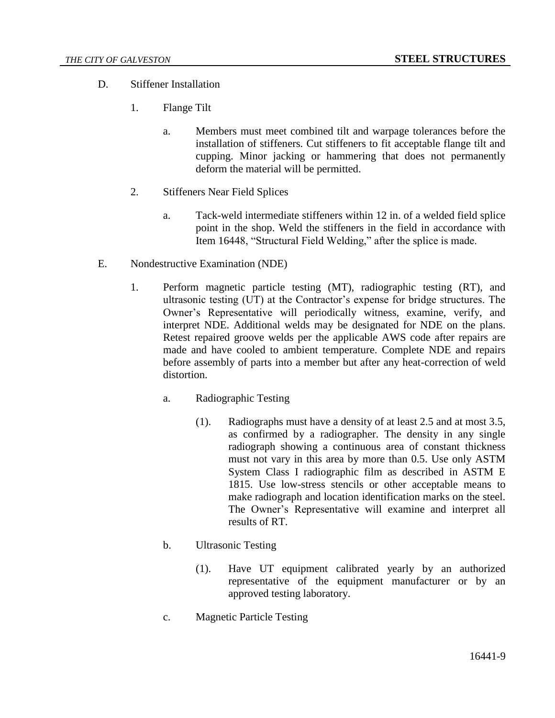- D. Stiffener Installation
	- 1. Flange Tilt
		- a. Members must meet combined tilt and warpage tolerances before the installation of stiffeners. Cut stiffeners to fit acceptable flange tilt and cupping. Minor jacking or hammering that does not permanently deform the material will be permitted.
	- 2. Stiffeners Near Field Splices
		- a. Tack-weld intermediate stiffeners within 12 in. of a welded field splice point in the shop. Weld the stiffeners in the field in accordance with Item 16448, "Structural Field Welding," after the splice is made.
- E. Nondestructive Examination (NDE)
	- 1. Perform magnetic particle testing (MT), radiographic testing (RT), and ultrasonic testing (UT) at the Contractor's expense for bridge structures. The Owner's Representative will periodically witness, examine, verify, and interpret NDE. Additional welds may be designated for NDE on the plans. Retest repaired groove welds per the applicable AWS code after repairs are made and have cooled to ambient temperature. Complete NDE and repairs before assembly of parts into a member but after any heat-correction of weld distortion.
		- a. Radiographic Testing
			- (1). Radiographs must have a density of at least 2.5 and at most 3.5, as confirmed by a radiographer. The density in any single radiograph showing a continuous area of constant thickness must not vary in this area by more than 0.5. Use only ASTM System Class I radiographic film as described in ASTM E 1815. Use low-stress stencils or other acceptable means to make radiograph and location identification marks on the steel. The Owner's Representative will examine and interpret all results of RT.
		- b. Ultrasonic Testing
			- (1). Have UT equipment calibrated yearly by an authorized representative of the equipment manufacturer or by an approved testing laboratory.
		- c. Magnetic Particle Testing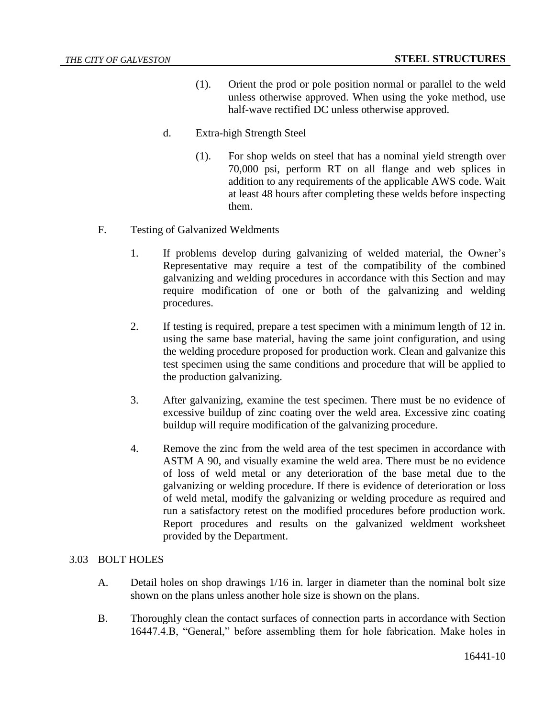- (1). Orient the prod or pole position normal or parallel to the weld unless otherwise approved. When using the yoke method, use half-wave rectified DC unless otherwise approved.
- d. Extra-high Strength Steel
	- (1). For shop welds on steel that has a nominal yield strength over 70,000 psi, perform RT on all flange and web splices in addition to any requirements of the applicable AWS code. Wait at least 48 hours after completing these welds before inspecting them.
- F. Testing of Galvanized Weldments
	- 1. If problems develop during galvanizing of welded material, the Owner's Representative may require a test of the compatibility of the combined galvanizing and welding procedures in accordance with this Section and may require modification of one or both of the galvanizing and welding procedures.
	- 2. If testing is required, prepare a test specimen with a minimum length of 12 in. using the same base material, having the same joint configuration, and using the welding procedure proposed for production work. Clean and galvanize this test specimen using the same conditions and procedure that will be applied to the production galvanizing.
	- 3. After galvanizing, examine the test specimen. There must be no evidence of excessive buildup of zinc coating over the weld area. Excessive zinc coating buildup will require modification of the galvanizing procedure.
	- 4. Remove the zinc from the weld area of the test specimen in accordance with ASTM A 90, and visually examine the weld area. There must be no evidence of loss of weld metal or any deterioration of the base metal due to the galvanizing or welding procedure. If there is evidence of deterioration or loss of weld metal, modify the galvanizing or welding procedure as required and run a satisfactory retest on the modified procedures before production work. Report procedures and results on the galvanized weldment worksheet provided by the Department.

# 3.03 BOLT HOLES

- A. Detail holes on shop drawings 1/16 in. larger in diameter than the nominal bolt size shown on the plans unless another hole size is shown on the plans.
- B. Thoroughly clean the contact surfaces of connection parts in accordance with Section 16447.4.B, "General," before assembling them for hole fabrication. Make holes in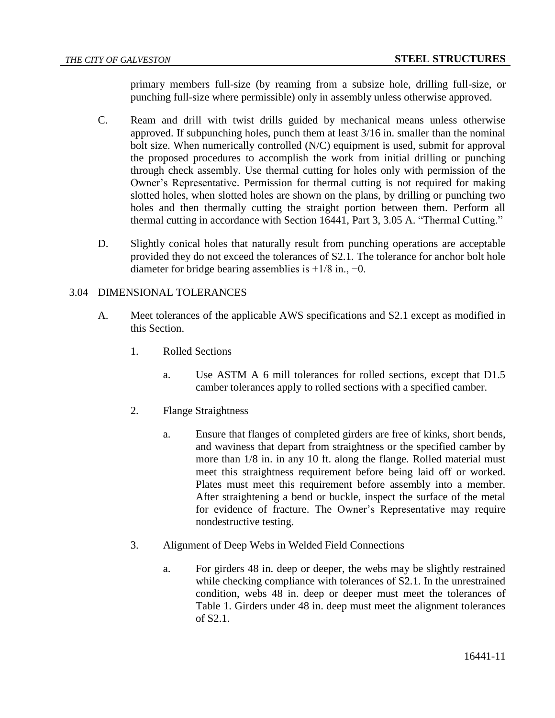primary members full-size (by reaming from a subsize hole, drilling full-size, or punching full-size where permissible) only in assembly unless otherwise approved.

- C. Ream and drill with twist drills guided by mechanical means unless otherwise approved. If subpunching holes, punch them at least 3/16 in. smaller than the nominal bolt size. When numerically controlled (N/C) equipment is used, submit for approval the proposed procedures to accomplish the work from initial drilling or punching through check assembly. Use thermal cutting for holes only with permission of the Owner's Representative. Permission for thermal cutting is not required for making slotted holes, when slotted holes are shown on the plans, by drilling or punching two holes and then thermally cutting the straight portion between them. Perform all thermal cutting in accordance with Section 16441, Part 3, 3.05 A. "Thermal Cutting."
- D. Slightly conical holes that naturally result from punching operations are acceptable provided they do not exceed the tolerances of S2.1. The tolerance for anchor bolt hole diameter for bridge bearing assemblies is  $+1/8$  in.,  $-0$ .

# 3.04 DIMENSIONAL TOLERANCES

- A. Meet tolerances of the applicable AWS specifications and S2.1 except as modified in this Section.
	- 1. Rolled Sections
		- a. Use ASTM A 6 mill tolerances for rolled sections, except that D1.5 camber tolerances apply to rolled sections with a specified camber.
	- 2. Flange Straightness
		- a. Ensure that flanges of completed girders are free of kinks, short bends, and waviness that depart from straightness or the specified camber by more than 1/8 in. in any 10 ft. along the flange. Rolled material must meet this straightness requirement before being laid off or worked. Plates must meet this requirement before assembly into a member. After straightening a bend or buckle, inspect the surface of the metal for evidence of fracture. The Owner's Representative may require nondestructive testing.
	- 3. Alignment of Deep Webs in Welded Field Connections
		- a. For girders 48 in. deep or deeper, the webs may be slightly restrained while checking compliance with tolerances of S2.1. In the unrestrained condition, webs 48 in. deep or deeper must meet the tolerances of Table 1. Girders under 48 in. deep must meet the alignment tolerances of S2.1.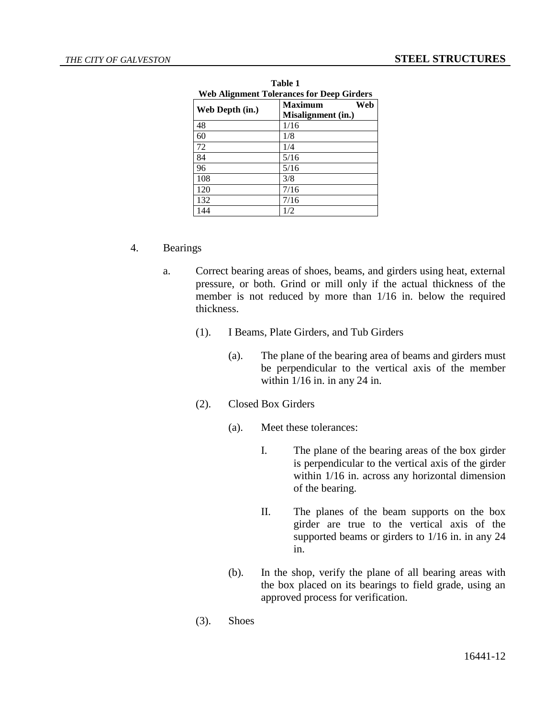| <b>Web Alignment Tolerances for Deep Girders</b> |                                             |
|--------------------------------------------------|---------------------------------------------|
| Web Depth (in.)                                  | <b>Maximum</b><br>Web<br>Misalignment (in.) |
| 48                                               | 1/16                                        |
| 60                                               | 1/8                                         |
| 72                                               | 1/4                                         |
| 84                                               | 5/16                                        |
| 96                                               | 5/16                                        |
| 108                                              | 3/8                                         |
| 120                                              | 7/16                                        |
| 132                                              | 7/16                                        |
| 144                                              | 1/2                                         |

**Table 1 Web Alignment Tolerances for Deep Girders**

#### 4. Bearings

- a. Correct bearing areas of shoes, beams, and girders using heat, external pressure, or both. Grind or mill only if the actual thickness of the member is not reduced by more than 1/16 in. below the required thickness.
	- (1). I Beams, Plate Girders, and Tub Girders
		- (a). The plane of the bearing area of beams and girders must be perpendicular to the vertical axis of the member within  $1/16$  in. in any 24 in.
	- (2). Closed Box Girders
		- (a). Meet these tolerances:
			- I. The plane of the bearing areas of the box girder is perpendicular to the vertical axis of the girder within 1/16 in. across any horizontal dimension of the bearing.
			- II. The planes of the beam supports on the box girder are true to the vertical axis of the supported beams or girders to 1/16 in. in any 24 in.
		- (b). In the shop, verify the plane of all bearing areas with the box placed on its bearings to field grade, using an approved process for verification.
	- (3). Shoes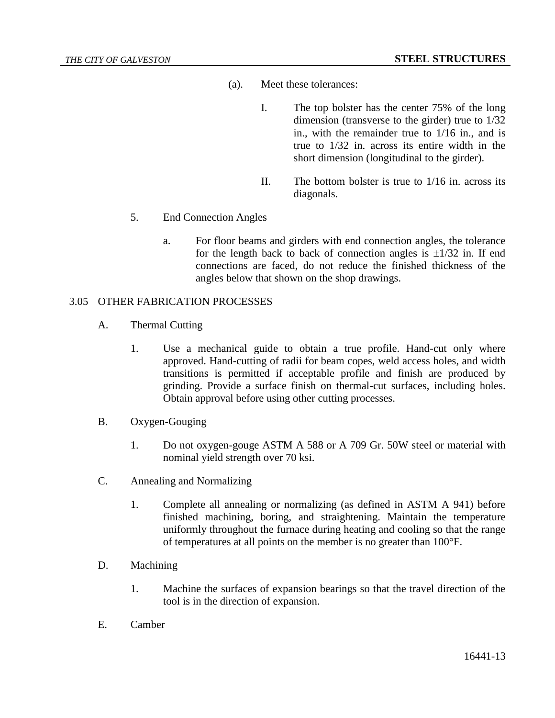- (a). Meet these tolerances:
	- I. The top bolster has the center 75% of the long dimension (transverse to the girder) true to 1/32 in., with the remainder true to 1/16 in., and is true to 1/32 in. across its entire width in the short dimension (longitudinal to the girder).
	- II. The bottom bolster is true to 1/16 in. across its diagonals.
- 5. End Connection Angles
	- a. For floor beams and girders with end connection angles, the tolerance for the length back to back of connection angles is  $\pm 1/32$  in. If end connections are faced, do not reduce the finished thickness of the angles below that shown on the shop drawings.

#### 3.05 OTHER FABRICATION PROCESSES

- A. Thermal Cutting
	- 1. Use a mechanical guide to obtain a true profile. Hand-cut only where approved. Hand-cutting of radii for beam copes, weld access holes, and width transitions is permitted if acceptable profile and finish are produced by grinding. Provide a surface finish on thermal-cut surfaces, including holes. Obtain approval before using other cutting processes.
- B. Oxygen-Gouging
	- 1. Do not oxygen-gouge ASTM A 588 or A 709 Gr. 50W steel or material with nominal yield strength over 70 ksi.
- C. Annealing and Normalizing
	- 1. Complete all annealing or normalizing (as defined in ASTM A 941) before finished machining, boring, and straightening. Maintain the temperature uniformly throughout the furnace during heating and cooling so that the range of temperatures at all points on the member is no greater than 100°F.
- D. Machining
	- 1. Machine the surfaces of expansion bearings so that the travel direction of the tool is in the direction of expansion.
- E. Camber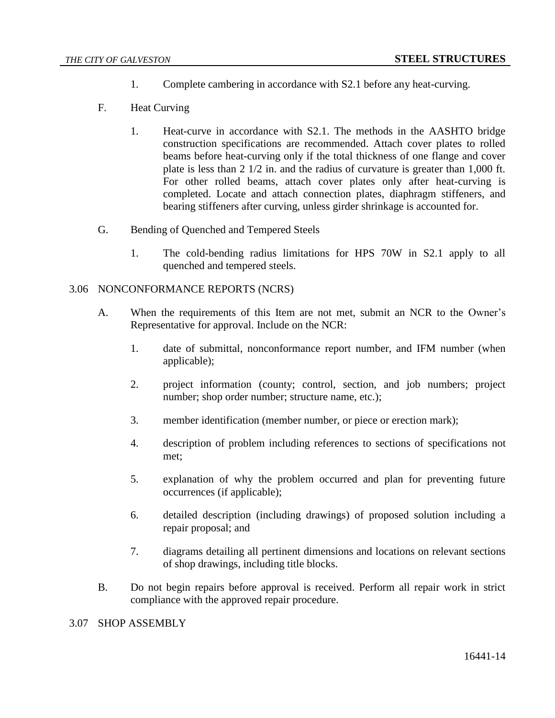- 1. Complete cambering in accordance with S2.1 before any heat-curving.
- F. Heat Curving
	- 1. Heat-curve in accordance with S2.1. The methods in the AASHTO bridge construction specifications are recommended. Attach cover plates to rolled beams before heat-curving only if the total thickness of one flange and cover plate is less than 2 1/2 in. and the radius of curvature is greater than 1,000 ft. For other rolled beams, attach cover plates only after heat-curving is completed. Locate and attach connection plates, diaphragm stiffeners, and bearing stiffeners after curving, unless girder shrinkage is accounted for.
- G. Bending of Quenched and Tempered Steels
	- 1. The cold-bending radius limitations for HPS 70W in S2.1 apply to all quenched and tempered steels.

#### 3.06 NONCONFORMANCE REPORTS (NCRS)

- A. When the requirements of this Item are not met, submit an NCR to the Owner's Representative for approval. Include on the NCR:
	- 1. date of submittal, nonconformance report number, and IFM number (when applicable);
	- 2. project information (county; control, section, and job numbers; project number; shop order number; structure name, etc.);
	- 3. member identification (member number, or piece or erection mark);
	- 4. description of problem including references to sections of specifications not met;
	- 5. explanation of why the problem occurred and plan for preventing future occurrences (if applicable);
	- 6. detailed description (including drawings) of proposed solution including a repair proposal; and
	- 7. diagrams detailing all pertinent dimensions and locations on relevant sections of shop drawings, including title blocks.
- B. Do not begin repairs before approval is received. Perform all repair work in strict compliance with the approved repair procedure.

3.07 SHOP ASSEMBLY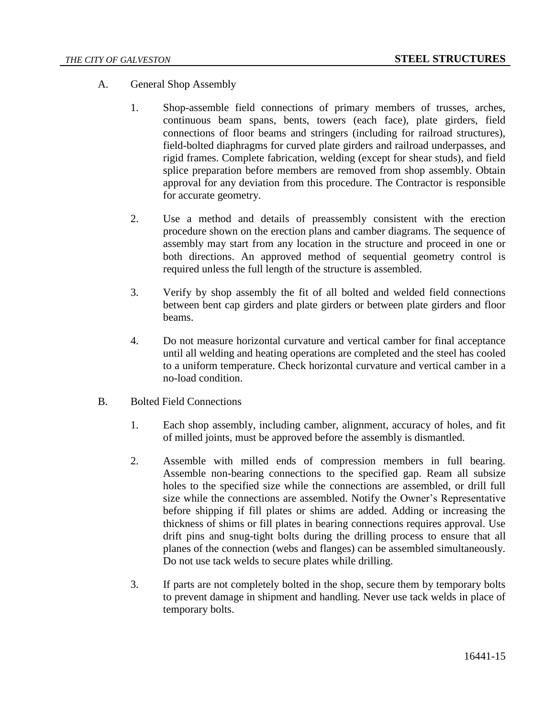- A. General Shop Assembly
	- 1. Shop-assemble field connections of primary members of trusses, arches, continuous beam spans, bents, towers (each face), plate girders, field connections of floor beams and stringers (including for railroad structures), field-bolted diaphragms for curved plate girders and railroad underpasses, and rigid frames. Complete fabrication, welding (except for shear studs), and field splice preparation before members are removed from shop assembly. Obtain approval for any deviation from this procedure. The Contractor is responsible for accurate geometry.
	- 2. Use a method and details of preassembly consistent with the erection procedure shown on the erection plans and camber diagrams. The sequence of assembly may start from any location in the structure and proceed in one or both directions. An approved method of sequential geometry control is required unless the full length of the structure is assembled.
	- 3. Verify by shop assembly the fit of all bolted and welded field connections between bent cap girders and plate girders or between plate girders and floor beams.
	- 4. Do not measure horizontal curvature and vertical camber for final acceptance until all welding and heating operations are completed and the steel has cooled to a uniform temperature. Check horizontal curvature and vertical camber in a no-load condition.
- B. Bolted Field Connections
	- 1. Each shop assembly, including camber, alignment, accuracy of holes, and fit of milled joints, must be approved before the assembly is dismantled.
	- 2. Assemble with milled ends of compression members in full bearing. Assemble non-bearing connections to the specified gap. Ream all subsize holes to the specified size while the connections are assembled, or drill full size while the connections are assembled. Notify the Owner's Representative before shipping if fill plates or shims are added. Adding or increasing the thickness of shims or fill plates in bearing connections requires approval. Use drift pins and snug-tight bolts during the drilling process to ensure that all planes of the connection (webs and flanges) can be assembled simultaneously. Do not use tack welds to secure plates while drilling.
	- 3. If parts are not completely bolted in the shop, secure them by temporary bolts to prevent damage in shipment and handling. Never use tack welds in place of temporary bolts.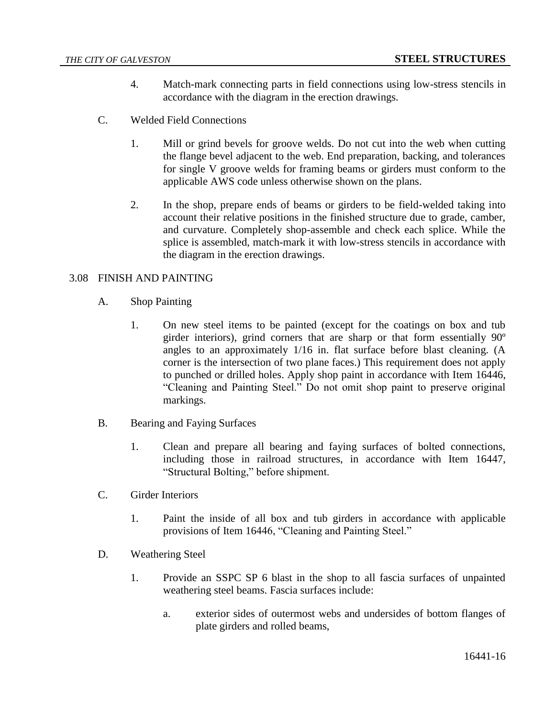- 4. Match-mark connecting parts in field connections using low-stress stencils in accordance with the diagram in the erection drawings.
- C. Welded Field Connections
	- 1. Mill or grind bevels for groove welds. Do not cut into the web when cutting the flange bevel adjacent to the web. End preparation, backing, and tolerances for single V groove welds for framing beams or girders must conform to the applicable AWS code unless otherwise shown on the plans.
	- 2. In the shop, prepare ends of beams or girders to be field-welded taking into account their relative positions in the finished structure due to grade, camber, and curvature. Completely shop-assemble and check each splice. While the splice is assembled, match-mark it with low-stress stencils in accordance with the diagram in the erection drawings.

# 3.08 FINISH AND PAINTING

- A. Shop Painting
	- 1. On new steel items to be painted (except for the coatings on box and tub girder interiors), grind corners that are sharp or that form essentially 90º angles to an approximately 1/16 in. flat surface before blast cleaning. (A corner is the intersection of two plane faces.) This requirement does not apply to punched or drilled holes. Apply shop paint in accordance with Item 16446, "Cleaning and Painting Steel." Do not omit shop paint to preserve original markings.
- B. Bearing and Faying Surfaces
	- 1. Clean and prepare all bearing and faying surfaces of bolted connections, including those in railroad structures, in accordance with Item 16447, "Structural Bolting," before shipment.
- C. Girder Interiors
	- 1. Paint the inside of all box and tub girders in accordance with applicable provisions of Item 16446, "Cleaning and Painting Steel."
- D. Weathering Steel
	- 1. Provide an SSPC SP 6 blast in the shop to all fascia surfaces of unpainted weathering steel beams. Fascia surfaces include:
		- a. exterior sides of outermost webs and undersides of bottom flanges of plate girders and rolled beams,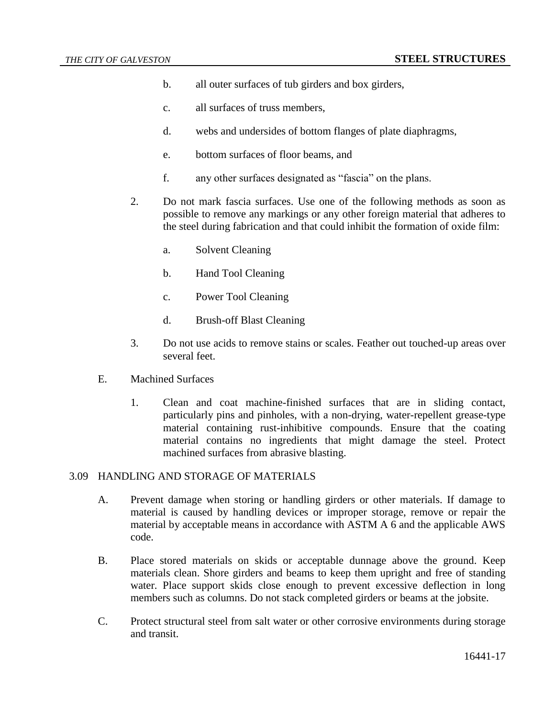- b. all outer surfaces of tub girders and box girders,
- c. all surfaces of truss members,
- d. webs and undersides of bottom flanges of plate diaphragms,
- e. bottom surfaces of floor beams, and
- f. any other surfaces designated as "fascia" on the plans.
- 2. Do not mark fascia surfaces. Use one of the following methods as soon as possible to remove any markings or any other foreign material that adheres to the steel during fabrication and that could inhibit the formation of oxide film:
	- a. Solvent Cleaning
	- b. Hand Tool Cleaning
	- c. Power Tool Cleaning
	- d. Brush-off Blast Cleaning
- 3. Do not use acids to remove stains or scales. Feather out touched-up areas over several feet.
- E. Machined Surfaces
	- 1. Clean and coat machine-finished surfaces that are in sliding contact, particularly pins and pinholes, with a non-drying, water-repellent grease-type material containing rust-inhibitive compounds. Ensure that the coating material contains no ingredients that might damage the steel. Protect machined surfaces from abrasive blasting.

#### 3.09 HANDLING AND STORAGE OF MATERIALS

- A. Prevent damage when storing or handling girders or other materials. If damage to material is caused by handling devices or improper storage, remove or repair the material by acceptable means in accordance with ASTM A 6 and the applicable AWS code.
- B. Place stored materials on skids or acceptable dunnage above the ground. Keep materials clean. Shore girders and beams to keep them upright and free of standing water. Place support skids close enough to prevent excessive deflection in long members such as columns. Do not stack completed girders or beams at the jobsite.
- C. Protect structural steel from salt water or other corrosive environments during storage and transit.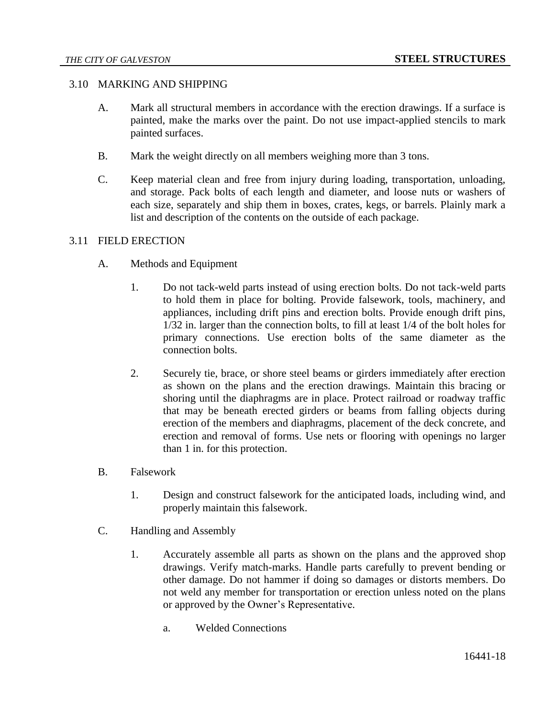#### 3.10 MARKING AND SHIPPING

- A. Mark all structural members in accordance with the erection drawings. If a surface is painted, make the marks over the paint. Do not use impact-applied stencils to mark painted surfaces.
- B. Mark the weight directly on all members weighing more than 3 tons.
- C. Keep material clean and free from injury during loading, transportation, unloading, and storage. Pack bolts of each length and diameter, and loose nuts or washers of each size, separately and ship them in boxes, crates, kegs, or barrels. Plainly mark a list and description of the contents on the outside of each package.

# 3.11 FIELD ERECTION

- A. Methods and Equipment
	- 1. Do not tack-weld parts instead of using erection bolts. Do not tack-weld parts to hold them in place for bolting. Provide falsework, tools, machinery, and appliances, including drift pins and erection bolts. Provide enough drift pins, 1/32 in. larger than the connection bolts, to fill at least 1/4 of the bolt holes for primary connections. Use erection bolts of the same diameter as the connection bolts.
	- 2. Securely tie, brace, or shore steel beams or girders immediately after erection as shown on the plans and the erection drawings. Maintain this bracing or shoring until the diaphragms are in place. Protect railroad or roadway traffic that may be beneath erected girders or beams from falling objects during erection of the members and diaphragms, placement of the deck concrete, and erection and removal of forms. Use nets or flooring with openings no larger than 1 in. for this protection.
- B. Falsework
	- 1. Design and construct falsework for the anticipated loads, including wind, and properly maintain this falsework.
- C. Handling and Assembly
	- 1. Accurately assemble all parts as shown on the plans and the approved shop drawings. Verify match-marks. Handle parts carefully to prevent bending or other damage. Do not hammer if doing so damages or distorts members. Do not weld any member for transportation or erection unless noted on the plans or approved by the Owner's Representative.
		- a. Welded Connections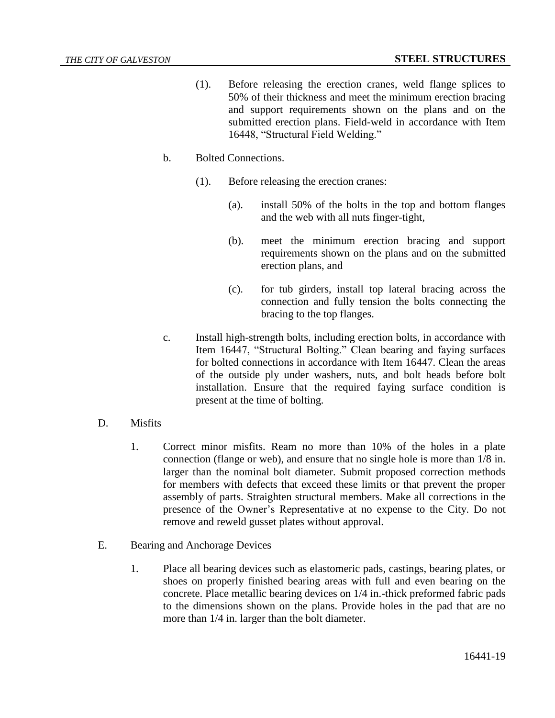- (1). Before releasing the erection cranes, weld flange splices to 50% of their thickness and meet the minimum erection bracing and support requirements shown on the plans and on the submitted erection plans. Field-weld in accordance with Item 16448, "Structural Field Welding."
- b. Bolted Connections.
	- (1). Before releasing the erection cranes:
		- (a). install 50% of the bolts in the top and bottom flanges and the web with all nuts finger-tight,
		- (b). meet the minimum erection bracing and support requirements shown on the plans and on the submitted erection plans, and
		- (c). for tub girders, install top lateral bracing across the connection and fully tension the bolts connecting the bracing to the top flanges.
- c. Install high-strength bolts, including erection bolts, in accordance with Item 16447, "Structural Bolting." Clean bearing and faying surfaces for bolted connections in accordance with Item 16447. Clean the areas of the outside ply under washers, nuts, and bolt heads before bolt installation. Ensure that the required faying surface condition is present at the time of bolting.
- D. Misfits
	- 1. Correct minor misfits. Ream no more than 10% of the holes in a plate connection (flange or web), and ensure that no single hole is more than 1/8 in. larger than the nominal bolt diameter. Submit proposed correction methods for members with defects that exceed these limits or that prevent the proper assembly of parts. Straighten structural members. Make all corrections in the presence of the Owner's Representative at no expense to the City. Do not remove and reweld gusset plates without approval.
- E. Bearing and Anchorage Devices
	- 1. Place all bearing devices such as elastomeric pads, castings, bearing plates, or shoes on properly finished bearing areas with full and even bearing on the concrete. Place metallic bearing devices on 1/4 in.-thick preformed fabric pads to the dimensions shown on the plans. Provide holes in the pad that are no more than 1/4 in. larger than the bolt diameter.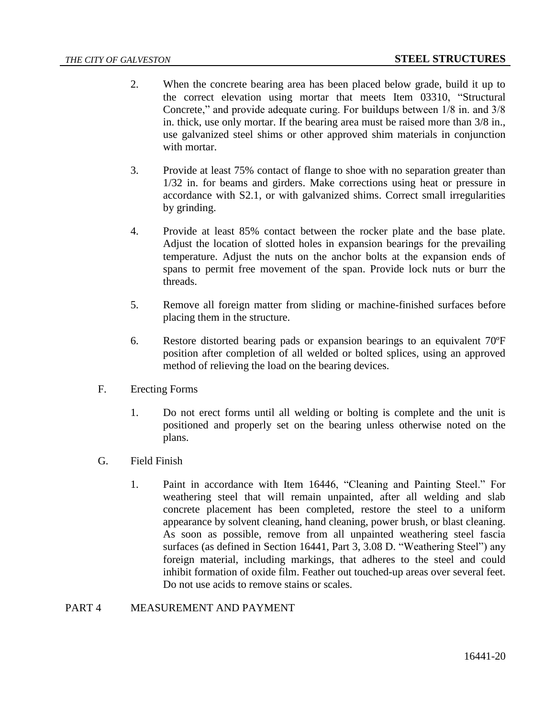- 2. When the concrete bearing area has been placed below grade, build it up to the correct elevation using mortar that meets Item 03310, "Structural Concrete," and provide adequate curing. For buildups between 1/8 in. and 3/8 in. thick, use only mortar. If the bearing area must be raised more than 3/8 in., use galvanized steel shims or other approved shim materials in conjunction with mortar.
- 3. Provide at least 75% contact of flange to shoe with no separation greater than 1/32 in. for beams and girders. Make corrections using heat or pressure in accordance with S2.1, or with galvanized shims. Correct small irregularities by grinding.
- 4. Provide at least 85% contact between the rocker plate and the base plate. Adjust the location of slotted holes in expansion bearings for the prevailing temperature. Adjust the nuts on the anchor bolts at the expansion ends of spans to permit free movement of the span. Provide lock nuts or burr the threads.
- 5. Remove all foreign matter from sliding or machine-finished surfaces before placing them in the structure.
- 6. Restore distorted bearing pads or expansion bearings to an equivalent 70ºF position after completion of all welded or bolted splices, using an approved method of relieving the load on the bearing devices.
- F. Erecting Forms
	- 1. Do not erect forms until all welding or bolting is complete and the unit is positioned and properly set on the bearing unless otherwise noted on the plans.
- G. Field Finish
	- 1. Paint in accordance with Item 16446, "Cleaning and Painting Steel." For weathering steel that will remain unpainted, after all welding and slab concrete placement has been completed, restore the steel to a uniform appearance by solvent cleaning, hand cleaning, power brush, or blast cleaning. As soon as possible, remove from all unpainted weathering steel fascia surfaces (as defined in Section 16441, Part 3, 3.08 D. "Weathering Steel") any foreign material, including markings, that adheres to the steel and could inhibit formation of oxide film. Feather out touched-up areas over several feet. Do not use acids to remove stains or scales.

# PART 4 MEASUREMENT AND PAYMENT